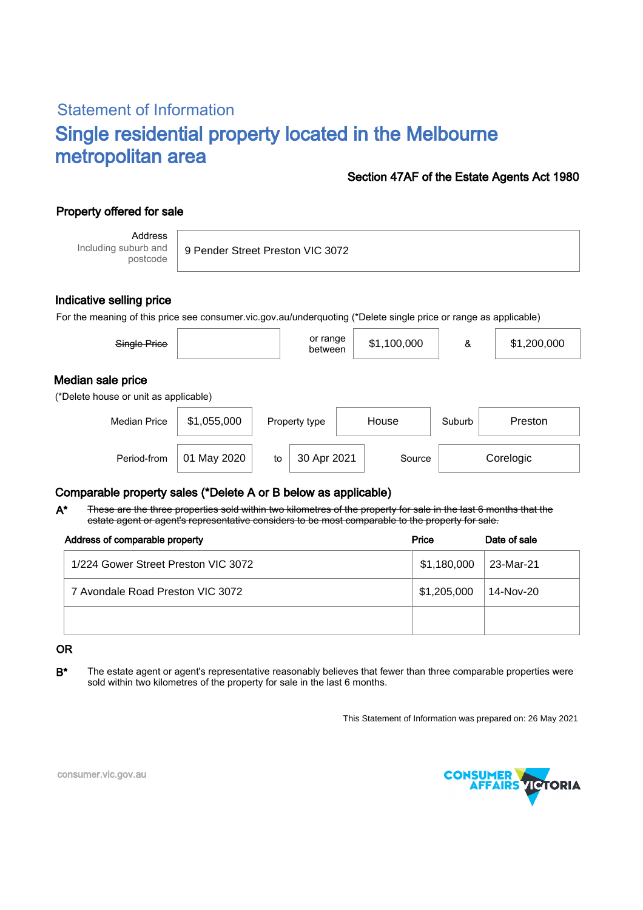# Statement of Information Single residential property located in the Melbourne metropolitan area

### Section 47AF of the Estate Agents Act 1980

# Property offered for sale

Address Including suburb and postcode

9 Pender Street Preston VIC 3072

### Indicative selling price

For the meaning of this price see consumer.vic.gov.au/underquoting (\*Delete single price or range as applicable)

| Single Price                                               |             |    | or range<br>between    |  | \$1,100,000 | &      | \$1,200,000 |
|------------------------------------------------------------|-------------|----|------------------------|--|-------------|--------|-------------|
| Median sale price<br>(*Delete house or unit as applicable) |             |    |                        |  |             |        |             |
| <b>Median Price</b>                                        | \$1,055,000 |    | House<br>Property type |  |             | Suburb | Preston     |
| Period-from                                                | 01 May 2020 | to | 30 Apr 2021            |  | Source      |        | Corelogic   |

## Comparable property sales (\*Delete A or B below as applicable)

These are the three properties sold within two kilometres of the property for sale in the last 6 months that the estate agent or agent's representative considers to be most comparable to the property for sale. A\*

| Address of comparable property      | Price       | Date of sale |
|-------------------------------------|-------------|--------------|
| 1/224 Gower Street Preston VIC 3072 | \$1,180,000 | 23-Mar-21    |
| 7 Avondale Road Preston VIC 3072    | \$1,205,000 | 14-Nov-20    |
|                                     |             |              |

#### OR

B<sup>\*</sup> The estate agent or agent's representative reasonably believes that fewer than three comparable properties were sold within two kilometres of the property for sale in the last 6 months.

This Statement of Information was prepared on: 26 May 2021



consumer.vic.gov.au